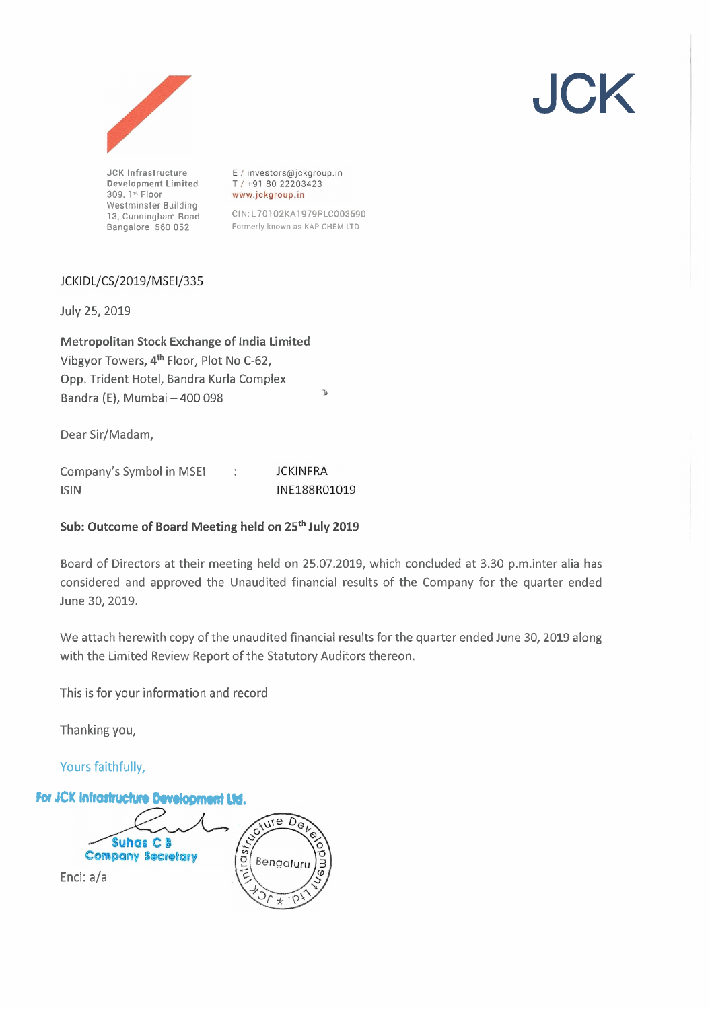

**JCK Infrastructure Development Limited 309. la Floor Westminster Building 13, Cunningham Road Bangalore 560 052** 

E / investors@jckgroup.in T / +91 80 22203423 www.jckgroup.in

CIN:L70102KA1979PLCO03590 Formerly **known as KAP CHEM** LTD

# JCKIDL/CS/2019/MSEI/335

July 25, 2019

Metropolitan Stock Exchange of India Limited Vibgyor Towers, 4th Floor, Plot No C-62, Opp. Trident Hotel, Bandra Kurla Complex Bandra (E), Mumbai - 400 098

Dear Sir/Madam,

| Company's Symbol in MSEI | <b>JCKINFRA</b> |
|--------------------------|-----------------|
| <b>ISIN</b>              | INE188R01019    |

## Sub: Outcome of Board Meeting held on **25th** July **2019**

Board of Directors at their meeting held on 25.07.2019, which concluded at 3.30 p.m.inter alia has considered and approved the Unaudited financial results of the Company for the quarter ended June 30,2019.

We attach herewith copy of the unaudited financial results for the quarter ended June 30, 2019 along with the Limited Review Report of the Statutory Auditors thereon.

This is for your information and record

Thanking you,

Yours faithfully,



JCK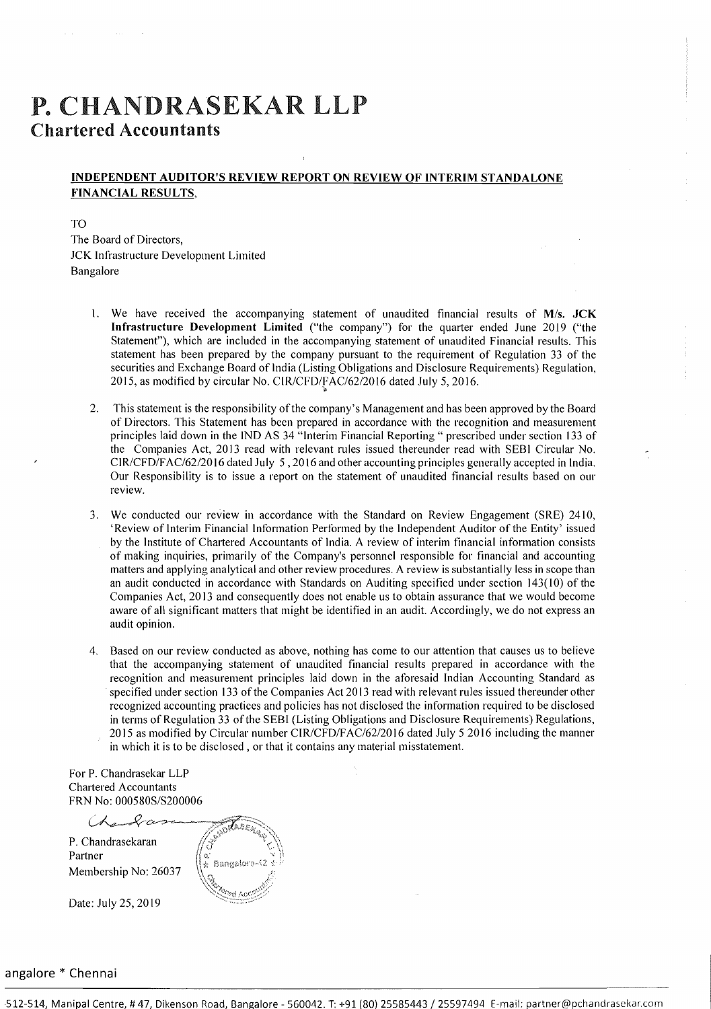# P. CHANDRASEKAR LLP **Chartered Accountants**

## **INDEPENDENT AUDITOR'S REVIEW REPORT ON REVIEW OF INTERIM STANDALONE FINANCIAL RESULTS,**

TO The Board of Directors, JCK Infrastructure Development Limited Bangalore

- 1. We have received the accompanying statement of unaudited financial results of M/s. JCK **Infrastructure Development Limited** ("the company") for the quarter ended June 2019 ("the Statement"), which are included in the accompanying statement of unaudited Financial results. This statement has been prepared by the company pursuant to the requirement of Regulation 33 of the securities and Exchange Board of lndia (Listing Obligations and Disclosure Requirements) Regulation, 2015, as modified by circular No. CIR/CFD/FAC/62/2016 dated July 5, 2016.
- 2. This statement is the responsibility ofthe company's Management and has been approved by the Board of Directors. This Statement has been prepared in accordance with the recognition and measurement principles laid down in the IND AS 34 "Interim Financial Reporting " prescribed under section 133 of the Companies Act, 2013 read with relevant rules issued thereunder read with SEBI Circular No. CIR/CFD/FAC/62/20 16 dated July 5 ,20 16 and other accounting principles generally accepted in India. Our Responsibility is to issue a report on the statement of unaudited financial results based on our review.
- 3. We conducted our review in accordance with the Standard on Review Engagement (SRE) 2410, 'Review of Interim Financial Information Performed by the Independent Auditor of the Entity' issued by the Institute of Chartered Accountants of India. A review of interim financial information consists of making inquiries, primarily of the Company's personnel responsible for financial and accounting matters and applying analytical and other review procedures. A review is substantially less in scope than an audit conducted in accordance with Standards on Auditing specified under section 143(10) of the Companies Act, 20 13 and consequently does not enable us to obtain assurance that we would become aware of all significant matters that might be identified in an audit. Accordingly, we do not express an audit opinion.
- 4. Based on our review conducted as above, nothing has come to our attention that causes us to believe that the accompanying statement of unaudited financial results prepared in accordance with the recognition and measurement principles laid down in the aforesaid Indian Accounting Standard as specified under section 133 of the Companies Act 20 13 read with relevant rules issued thereunder other recognized accounting practices arid policies has not disclosed the information required to be disclosed in terms of Regulation 33 of the SEBI (Listing Obligations and Disclosure Requirements) Regulations, 20 15 as modified by Circular number ClR/CFD/FAC/62/20 16 dated July 5 20 16 including the manner in which it is to be disclosed , or that it contains any material misstatement.

For P. Chandrasekar LLP Chartered Accountants FRN No: 000580S/S200006

rtered Accountants<br>(1 No: 000580S/S200006<br>(*A grame of comparison in the series*) // S<sup>DRASS</sup> P. Chandrasekaran P:? i' ..\_ ~,, ,+y, 1 \ Partner 11 .: *\$3.-* ", ,,, .,....,.. '"? .: : **,A,** <><,:,!\$j?4:,,. .- '.". . Membership No: 26037  $\sqrt{\frac{2}{3}}$ Date: July 25, 2019

### angalore \* Chennai